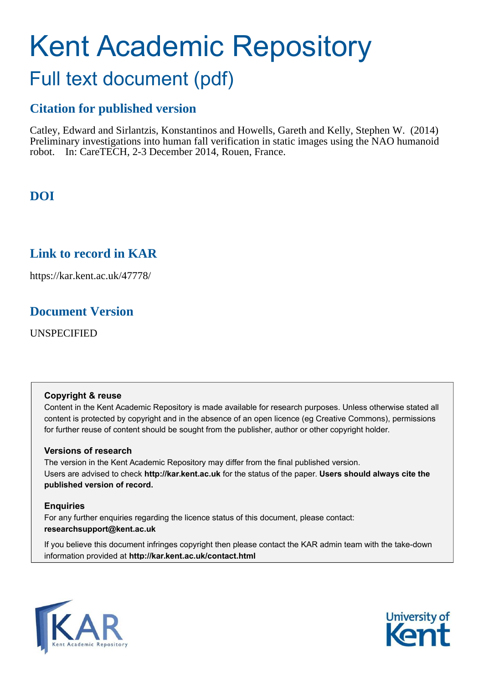# Kent Academic Repository Full text document (pdf)

## **Citation for published version**

Catley, Edward and Sirlantzis, Konstantinos and Howells, Gareth and Kelly, Stephen W. (2014) Preliminary investigations into human fall verification in static images using the NAO humanoid robot. In: CareTECH, 2-3 December 2014, Rouen, France.

## **DOI**

## **Link to record in KAR**

https://kar.kent.ac.uk/47778/

### **Document Version**

UNSPECIFIED

#### **Copyright & reuse**

Content in the Kent Academic Repository is made available for research purposes. Unless otherwise stated all content is protected by copyright and in the absence of an open licence (eg Creative Commons), permissions for further reuse of content should be sought from the publisher, author or other copyright holder.

#### **Versions of research**

The version in the Kent Academic Repository may differ from the final published version. Users are advised to check **http://kar.kent.ac.uk** for the status of the paper. **Users should always cite the published version of record.**

#### **Enquiries**

For any further enquiries regarding the licence status of this document, please contact: **researchsupport@kent.ac.uk**

If you believe this document infringes copyright then please contact the KAR admin team with the take-down information provided at **http://kar.kent.ac.uk/contact.html**



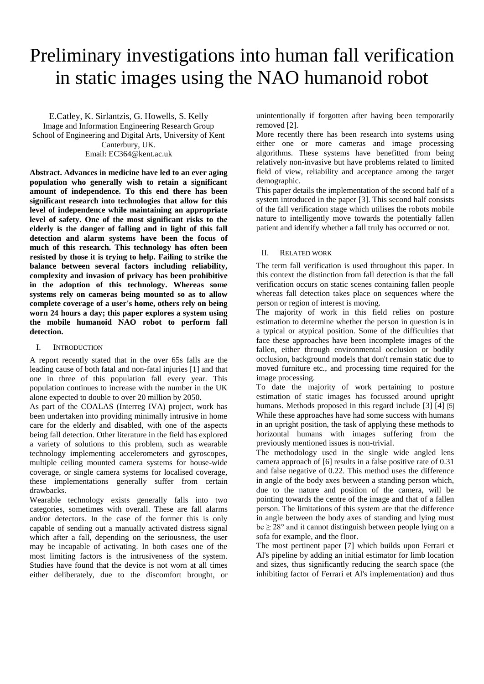## Preliminary investigations into human fall verification in static images using the NAO humanoid robot

E.Catley, K. Sirlantzis, G. Howells, S. Kelly Image and Information Engineering Research Group School of Engineering and Digital Arts, University of Kent Canterbury, UK. Email: EC364@kent.ac.uk

**Abstract. Advances in medicine have led to an ever aging population who generally wish to retain a significant amount of independence. To this end there has been significant research into technologies that allow for this level of independence while maintaining an appropriate level of safety. One of the most significant risks to the elderly is the danger of falling and in light of this fall detection and alarm systems have been the focus of much of this research. This technology has often been resisted by those it is trying to help. Failing to strike the balance between several factors including reliability, complexity and invasion of privacy has been prohibitive in the adoption of this technology. Whereas some systems rely on cameras being mounted so as to allow complete coverage of a user's home, others rely on being worn 24 hours a day; this paper explores a system using the mobile humanoid NAO robot to perform fall detection.** 

#### I. INTRODUCTION

A report recently stated that in the over 65s falls are the leading cause of both fatal and non-fatal injuries [1] and that one in three of this population fall every year. This population continues to increase with the number in the UK alone expected to double to over 20 million by 2050.

As part of the COALAS (Interreg IVA) project, work has been undertaken into providing minimally intrusive in home care for the elderly and disabled, with one of the aspects being fall detection. Other literature in the field has explored a variety of solutions to this problem, such as wearable technology implementing accelerometers and gyroscopes, multiple ceiling mounted camera systems for house-wide coverage, or single camera systems for localised coverage, these implementations generally suffer from certain drawbacks.

Wearable technology exists generally falls into two categories, sometimes with overall. These are fall alarms and/or detectors. In the case of the former this is only capable of sending out a manually activated distress signal which after a fall, depending on the seriousness, the user may be incapable of activating. In both cases one of the most limiting factors is the intrusiveness of the system. Studies have found that the device is not worn at all times either deliberately, due to the discomfort brought, or

unintentionally if forgotten after having been temporarily removed [2].

More recently there has been research into systems using either one or more cameras and image processing algorithms. These systems have benefitted from being relatively non-invasive but have problems related to limited field of view, reliability and acceptance among the target demographic.

This paper details the implementation of the second half of a system introduced in the paper [3]. This second half consists of the fall verification stage which utilises the robots mobile nature to intelligently move towards the potentially fallen patient and identify whether a fall truly has occurred or not.

#### II. RELATED WORK

The term fall verification is used throughout this paper. In this context the distinction from fall detection is that the fall verification occurs on static scenes containing fallen people whereas fall detection takes place on sequences where the person or region of interest is moving.

The majority of work in this field relies on posture estimation to determine whether the person in question is in a typical or atypical position. Some of the difficulties that face these approaches have been incomplete images of the fallen, either through environmental occlusion or bodily occlusion, background models that don't remain static due to moved furniture etc., and processing time required for the image processing.

To date the majority of work pertaining to posture estimation of static images has focussed around upright humans. Methods proposed in this regard include [3] [4] [5] While these approaches have had some success with humans in an upright position, the task of applying these methods to horizontal humans with images suffering from the previously mentioned issues is non-trivial.

The methodology used in the single wide angled lens camera approach of [6] results in a false positive rate of 0.31 and false negative of 0.22. This method uses the difference in angle of the body axes between a standing person which, due to the nature and position of the camera, will be pointing towards the centre of the image and that of a fallen person. The limitations of this system are that the difference in angle between the body axes of standing and lying must  $be \geq 28^{\circ}$  and it cannot distinguish between people lying on a sofa for example, and the floor.

The most pertinent paper [7] which builds upon Ferrari et Al's pipeline by adding an initial estimator for limb location and sizes, thus significantly reducing the search space (the inhibiting factor of Ferrari et Al's implementation) and thus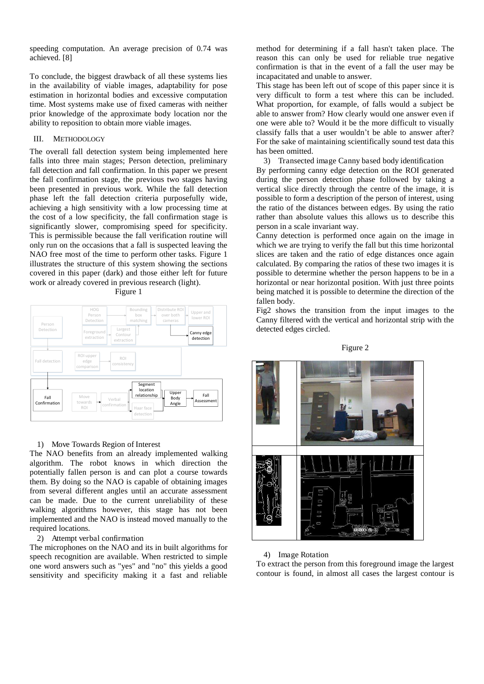speeding computation. An average precision of 0.74 was achieved. [8]

To conclude, the biggest drawback of all these systems lies in the availability of viable images, adaptability for pose estimation in horizontal bodies and excessive computation time. Most systems make use of fixed cameras with neither prior knowledge of the approximate body location nor the ability to reposition to obtain more viable images.

#### III. METHODOLOGY

The overall fall detection system being implemented here falls into three main stages; Person detection, preliminary fall detection and fall confirmation. In this paper we present the fall confirmation stage, the previous two stages having been presented in previous work. While the fall detection phase left the fall detection criteria purposefully wide, achieving a high sensitivity with a low processing time at the cost of a low specificity, the fall confirmation stage is significantly slower, compromising speed for specificity. This is permissible because the fall verification routine will only run on the occasions that a fall is suspected leaving the NAO free most of the time to perform other tasks. Figure 1 illustrates the structure of this system showing the sections covered in this paper (dark) and those either left for future work or already covered in previous research (light). Figure 1





#### 1) Move Towards Region of Interest

The NAO benefits from an already implemented walking algorithm. The robot knows in which direction the potentially fallen person is and can plot a course towards them. By doing so the NAO is capable of obtaining images from several different angles until an accurate assessment can be made. Due to the current unreliability of these walking algorithms however, this stage has not been implemented and the NAO is instead moved manually to the required locations.

#### 2) Attempt verbal confirmation

The microphones on the NAO and its in built algorithms for speech recognition are available. When restricted to simple one word answers such as "yes" and "no" this yields a good sensitivity and specificity making it a fast and reliable

method for determining if a fall hasn't taken place. The reason this can only be used for reliable true negative confirmation is that in the event of a fall the user may be incapacitated and unable to answer.

This stage has been left out of scope of this paper since it is very difficult to form a test where this can be included. What proportion, for example, of falls would a subject be able to answer from? How clearly would one answer even if one were able to? Would it be the more difficult to visually classify falls that a user wouldn't be able to answer after? For the sake of maintaining scientifically sound test data this has been omitted.

3) Transected image Canny based body identification

By performing canny edge detection on the ROI generated during the person detection phase followed by taking a vertical slice directly through the centre of the image, it is possible to form a description of the person of interest, using the ratio of the distances between edges. By using the ratio rather than absolute values this allows us to describe this person in a scale invariant way.

Canny detection is performed once again on the image in which we are trying to verify the fall but this time horizontal slices are taken and the ratio of edge distances once again calculated. By comparing the ratios of these two images it is possible to determine whether the person happens to be in a horizontal or near horizontal position. With just three points being matched it is possible to determine the direction of the fallen body.

Fig2 shows the transition from the input images to the Canny filtered with the vertical and horizontal strip with the detected edges circled.

#### Figure 2



#### 4) Image Rotation

To extract the person from this foreground image the largest contour is found, in almost all cases the largest contour is